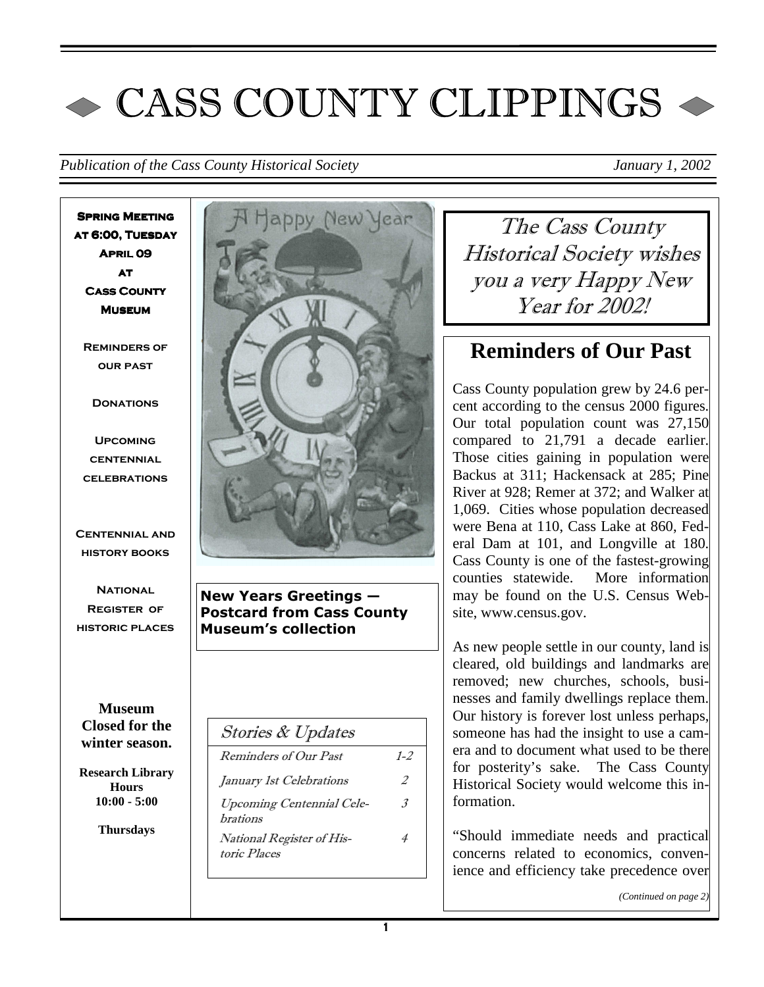# $\sim$  CASS COUNTY CLIPPINGS  $\sim$

*Publication of the Cass County Historical Society January 1, 2002* 

**Spring Meeting at 6:00, Tuesday April 09 April 09 at Cass County Cass County Museum** 

**Reminders of our past** 

**DONATIONS** 

**Upcoming centennial celebrations** 

**Centennial and history books** 

**National Register of historic places** 

**Museum Closed for the winter season.** 

**Research Library Hours 10:00 - 5:00** 

**Thursdays** 



New Years Greetings — Postcard from Cass County Museum's collection

| $1 - 2$       |
|---------------|
| 2             |
| $\mathcal{Z}$ |
|               |
|               |

The Cass County Historical Society wishes you a very Happy New Year for 2002!

# **Reminders of Our Past**

Cass County population grew by 24.6 percent according to the census 2000 figures. Our total population count was 27,150 compared to 21,791 a decade earlier. Those cities gaining in population were Backus at 311; Hackensack at 285; Pine River at 928; Remer at 372; and Walker at 1,069. Cities whose population decreased were Bena at 110, Cass Lake at 860, Federal Dam at 101, and Longville at 180. Cass County is one of the fastest-growing counties statewide. More information may be found on the U.S. Census Website, www.census.gov.

As new people settle in our county, land is cleared, old buildings and landmarks are removed; new churches, schools, businesses and family dwellings replace them. Our history is forever lost unless perhaps, someone has had the insight to use a camera and to document what used to be there for posterity's sake. The Cass County Historical Society would welcome this information.

"Should immediate needs and practical concerns related to economics, convenience and efficiency take precedence over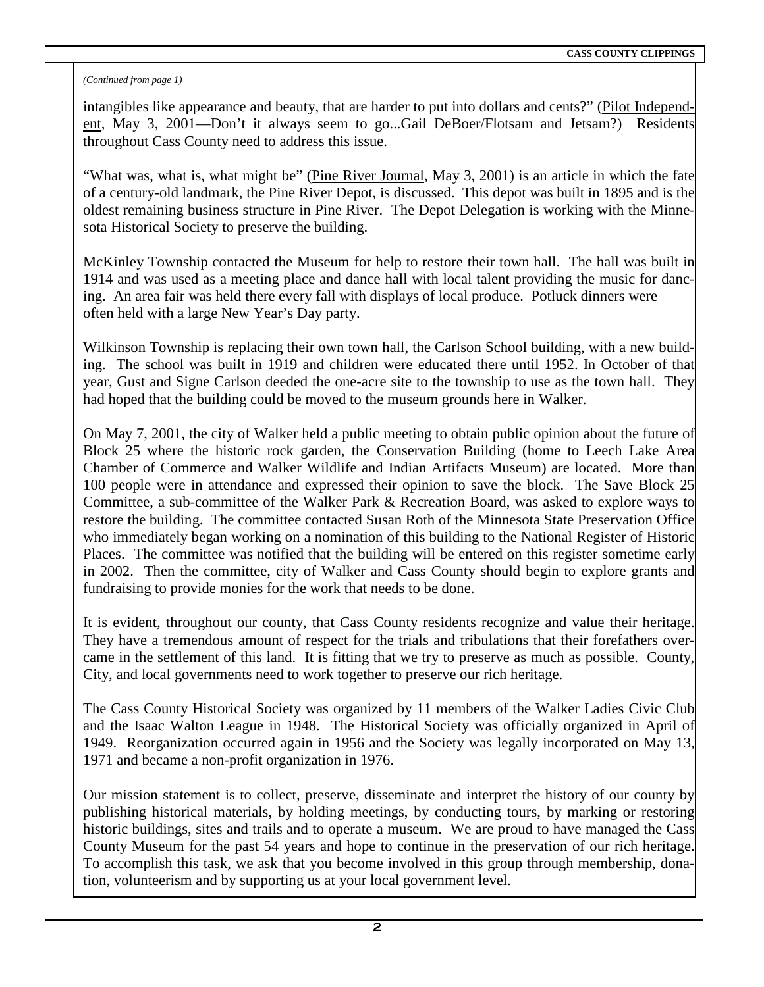#### *(Continued from page 1)*

intangibles like appearance and beauty, that are harder to put into dollars and cents?" (Pilot Independent, May 3, 2001—Don't it always seem to go...Gail DeBoer/Flotsam and Jetsam?) Residents throughout Cass County need to address this issue.

"What was, what is, what might be" (Pine River Journal, May 3, 2001) is an article in which the fate of a century-old landmark, the Pine River Depot, is discussed. This depot was built in 1895 and is the oldest remaining business structure in Pine River. The Depot Delegation is working with the Minnesota Historical Society to preserve the building.

McKinley Township contacted the Museum for help to restore their town hall. The hall was built in 1914 and was used as a meeting place and dance hall with local talent providing the music for dancing. An area fair was held there every fall with displays of local produce. Potluck dinners were often held with a large New Year's Day party.

Wilkinson Township is replacing their own town hall, the Carlson School building, with a new building. The school was built in 1919 and children were educated there until 1952. In October of that year, Gust and Signe Carlson deeded the one-acre site to the township to use as the town hall. They had hoped that the building could be moved to the museum grounds here in Walker.

On May 7, 2001, the city of Walker held a public meeting to obtain public opinion about the future of Block 25 where the historic rock garden, the Conservation Building (home to Leech Lake Area Chamber of Commerce and Walker Wildlife and Indian Artifacts Museum) are located. More than 100 people were in attendance and expressed their opinion to save the block. The Save Block 25 Committee, a sub-committee of the Walker Park & Recreation Board, was asked to explore ways to restore the building. The committee contacted Susan Roth of the Minnesota State Preservation Office who immediately began working on a nomination of this building to the National Register of Historic Places. The committee was notified that the building will be entered on this register sometime early in 2002. Then the committee, city of Walker and Cass County should begin to explore grants and fundraising to provide monies for the work that needs to be done.

It is evident, throughout our county, that Cass County residents recognize and value their heritage. They have a tremendous amount of respect for the trials and tribulations that their forefathers overcame in the settlement of this land. It is fitting that we try to preserve as much as possible. County, City, and local governments need to work together to preserve our rich heritage.

The Cass County Historical Society was organized by 11 members of the Walker Ladies Civic Club and the Isaac Walton League in 1948. The Historical Society was officially organized in April of 1949. Reorganization occurred again in 1956 and the Society was legally incorporated on May 13, 1971 and became a non-profit organization in 1976.

Our mission statement is to collect, preserve, disseminate and interpret the history of our county by publishing historical materials, by holding meetings, by conducting tours, by marking or restoring historic buildings, sites and trails and to operate a museum. We are proud to have managed the Cass County Museum for the past 54 years and hope to continue in the preservation of our rich heritage. To accomplish this task, we ask that you become involved in this group through membership, donation, volunteerism and by supporting us at your local government level.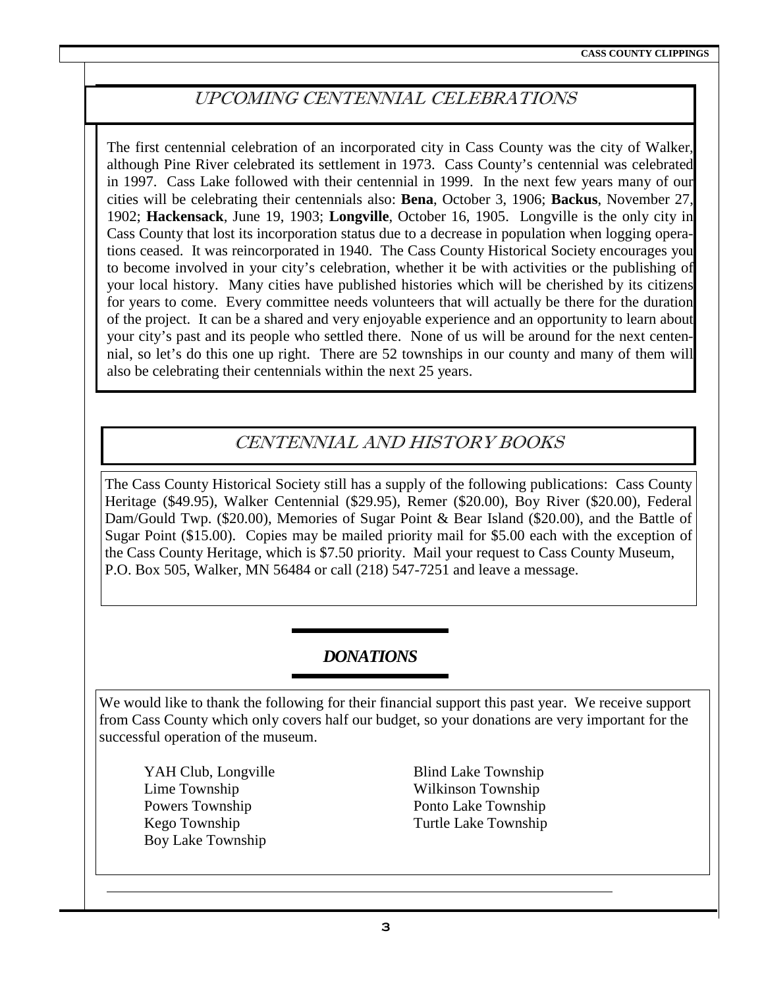## UPCOMING CENTENNIAL CELEBRATIONS

The first centennial celebration of an incorporated city in Cass County was the city of Walker, although Pine River celebrated its settlement in 1973. Cass County's centennial was celebrated in 1997. Cass Lake followed with their centennial in 1999. In the next few years many of our cities will be celebrating their centennials also: **Bena**, October 3, 1906; **Backus**, November 27, 1902; **Hackensack**, June 19, 1903; **Longville**, October 16, 1905. Longville is the only city in Cass County that lost its incorporation status due to a decrease in population when logging operations ceased. It was reincorporated in 1940. The Cass County Historical Society encourages you to become involved in your city's celebration, whether it be with activities or the publishing of your local history. Many cities have published histories which will be cherished by its citizens for years to come. Every committee needs volunteers that will actually be there for the duration of the project. It can be a shared and very enjoyable experience and an opportunity to learn about your city's past and its people who settled there. None of us will be around for the next centennial, so let's do this one up right. There are 52 townships in our county and many of them will also be celebrating their centennials within the next 25 years.

### CENTENNIAL AND HISTORY BOOKS

The Cass County Historical Society still has a supply of the following publications: Cass County Heritage (\$49.95), Walker Centennial (\$29.95), Remer (\$20.00), Boy River (\$20.00), Federal Dam/Gould Twp. (\$20.00), Memories of Sugar Point & Bear Island (\$20.00), and the Battle of Sugar Point (\$15.00). Copies may be mailed priority mail for \$5.00 each with the exception of the Cass County Heritage, which is \$7.50 priority. Mail your request to Cass County Museum, P.O. Box 505, Walker, MN 56484 or call (218) 547-7251 and leave a message.

#### *DONATIONS*

We would like to thank the following for their financial support this past year. We receive support from Cass County which only covers half our budget, so your donations are very important for the successful operation of the museum.

YAH Club, Longville Blind Lake Township Lime Township Wilkinson Township Powers Township Ponto Lake Township Kego Township Turtle Lake Township Boy Lake Township